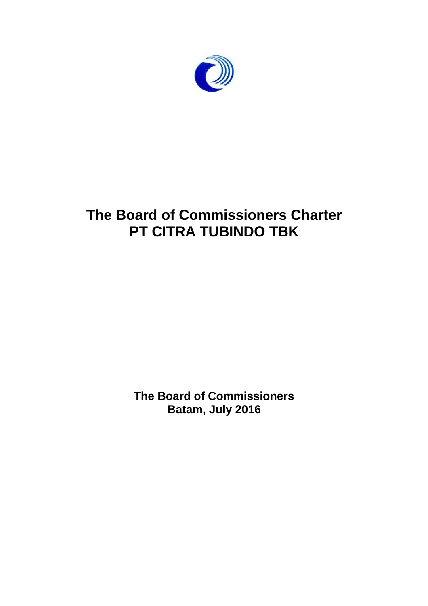

# **The Board of Commissioners Charter PT CITRA TUBINDO TBK**

**The Board of Commissioners Batam, July 2016**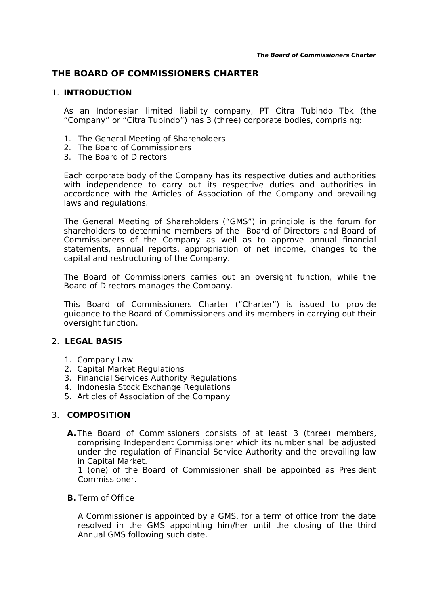# **THE BOARD OF COMMISSIONERS CHARTER**

## 1. **INTRODUCTION**

As an Indonesian limited liability company, PT Citra Tubindo Tbk (the "Company" or "Citra Tubindo") has 3 (three) corporate bodies, comprising:

- 1. The General Meeting of Shareholders
- 2. The Board of Commissioners
- 3. The Board of Directors

Each corporate body of the Company has its respective duties and authorities with independence to carry out its respective duties and authorities in accordance with the Articles of Association of the Company and prevailing laws and regulations.

The General Meeting of Shareholders ("GMS") in principle is the forum for shareholders to determine members of the Board of Directors and Board of Commissioners of the Company as well as to approve annual financial statements, annual reports, appropriation of net income, changes to the capital and restructuring of the Company.

The Board of Commissioners carries out an oversight function, while the Board of Directors manages the Company.

This Board of Commissioners Charter ("Charter") is issued to provide guidance to the Board of Commissioners and its members in carrying out their oversight function.

### 2. **LEGAL BASIS**

- 1. Company Law
- 2. Capital Market Regulations
- 3. Financial Services Authority Regulations
- 4. Indonesia Stock Exchange Regulations
- 5. Articles of Association of the Company

### 3. **COMPOSITION**

**A.**The Board of Commissioners consists of at least 3 (three) members, comprising Independent Commissioner which its number shall be adjusted under the regulation of Financial Service Authority and the prevailing law in Capital Market.

1 (one) of the Board of Commissioner shall be appointed as President Commissioner.

#### **B.** Term of Office

A Commissioner is appointed by a GMS, for a term of office from the date resolved in the GMS appointing him/her until the closing of the third Annual GMS following such date.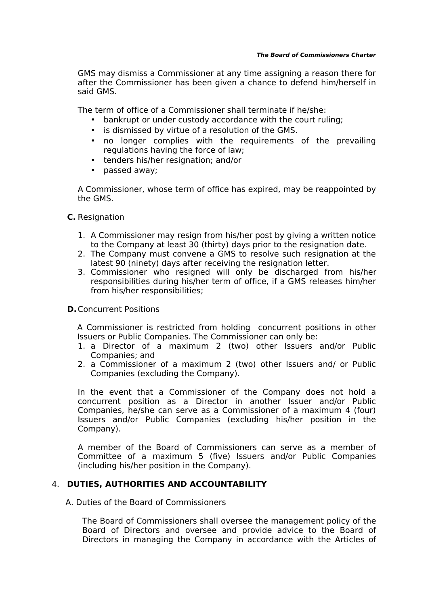GMS may dismiss a Commissioner at any time assigning a reason there for after the Commissioner has been given a chance to defend him/herself in said GMS.

The term of office of a Commissioner shall terminate if he/she:

- bankrupt or under custody accordance with the court ruling;
- is dismissed by virtue of a resolution of the GMS.
- no longer complies with the requirements of the prevailing regulations having the force of law;
- tenders his/her resignation; and/or
- passed away;

A Commissioner, whose term of office has expired, may be reappointed by the GMS.

**C.** Resignation

- 1. A Commissioner may resign from his/her post by giving a written notice to the Company at least 30 (thirty) days prior to the resignation date.
- 2. The Company must convene a GMS to resolve such resignation at the latest 90 (ninety) days after receiving the resignation letter.
- 3. Commissioner who resigned will only be discharged from his/her responsibilities during his/her term of office, if a GMS releases him/her from his/her responsibilities;

#### **D.**Concurrent Positions

A Commissioner is restricted from holding concurrent positions in other Issuers or Public Companies. The Commissioner can only be:

- 1. a Director of a maximum 2 (two) other Issuers and/or Public Companies; and
- 2. a Commissioner of a maximum 2 (two) other Issuers and/ or Public Companies (excluding the Company).

In the event that a Commissioner of the Company does not hold a concurrent position as a Director in another Issuer and/or Public Companies, he/she can serve as a Commissioner of a maximum 4 (four) Issuers and/or Public Companies (excluding his/her position in the Company).

A member of the Board of Commissioners can serve as a member of Committee of a maximum 5 (five) Issuers and/or Public Companies (including his/her position in the Company).

# 4. **DUTIES, AUTHORITIES AND ACCOUNTABILITY**

A. Duties of the Board of Commissioners

The Board of Commissioners shall oversee the management policy of the Board of Directors and oversee and provide advice to the Board of Directors in managing the Company in accordance with the Articles of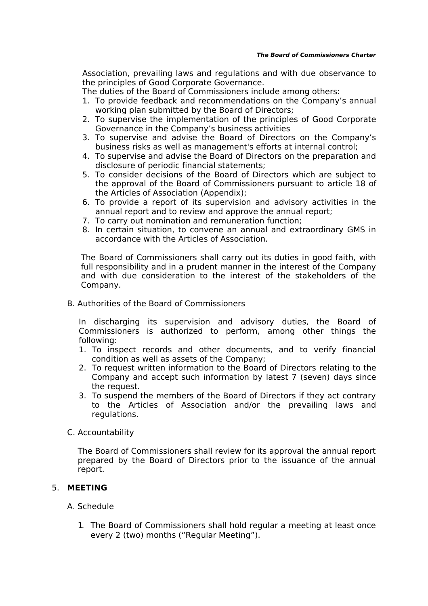Association, prevailing laws and regulations and with due observance to the principles of Good Corporate Governance.

The duties of the Board of Commissioners include among others:

- 1. To provide feedback and recommendations on the Company's annual working plan submitted by the Board of Directors;
- 2. To supervise the implementation of the principles of Good Corporate Governance in the Company's business activities
- 3. To supervise and advise the Board of Directors on the Company's business risks as well as management's efforts at internal control;
- 4. To supervise and advise the Board of Directors on the preparation and disclosure of periodic financial statements;
- 5. To consider decisions of the Board of Directors which are subject to the approval of the Board of Commissioners pursuant to article 18 of the Articles of Association (Appendix);
- 6. To provide a report of its supervision and advisory activities in the annual report and to review and approve the annual report;
- 7. To carry out nomination and remuneration function;
- 8. In certain situation, to convene an annual and extraordinary GMS in accordance with the Articles of Association.

The Board of Commissioners shall carry out its duties in good faith, with full responsibility and in a prudent manner in the interest of the Company and with due consideration to the interest of the stakeholders of the Company.

B. Authorities of the Board of Commissioners

In discharging its supervision and advisory duties, the Board of Commissioners is authorized to perform, among other things the following:

- 1. To inspect records and other documents, and to verify financial condition as well as assets of the Company;
- 2. To request written information to the Board of Directors relating to the Company and accept such information by latest 7 (seven) days since the request.
- 3. To suspend the members of the Board of Directors if they act contrary to the Articles of Association and/or the prevailing laws and regulations.
- C. Accountability

The Board of Commissioners shall review for its approval the annual report prepared by the Board of Directors prior to the issuance of the annual report.

# 5. **MEETING**

### A. Schedule

1. The Board of Commissioners shall hold regular a meeting at least once every 2 (two) months ("Regular Meeting").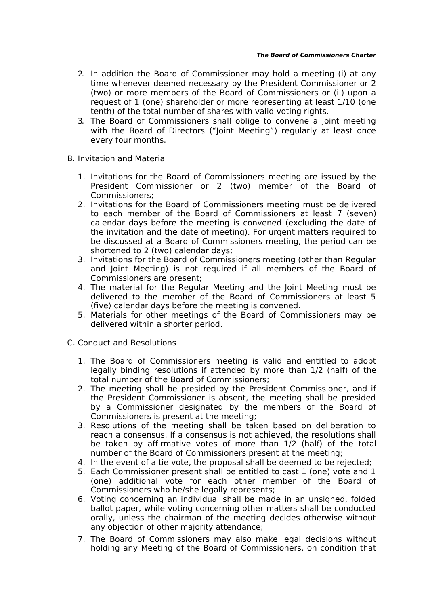- 2. In addition the Board of Commissioner may hold a meeting (i) at any time whenever deemed necessary by the President Commissioner or 2 (two) or more members of the Board of Commissioners or (ii) upon a request of 1 (one) shareholder or more representing at least 1/10 (one tenth) of the total number of shares with valid voting rights.
- 3. The Board of Commissioners shall oblige to convene a joint meeting with the Board of Directors ("Joint Meeting") regularly at least once every four months.
- B. Invitation and Material
	- 1. Invitations for the Board of Commissioners meeting are issued by the President Commissioner or 2 (two) member of the Board of Commissioners;
	- 2. Invitations for the Board of Commissioners meeting must be delivered to each member of the Board of Commissioners at least 7 (seven) calendar days before the meeting is convened (excluding the date of the invitation and the date of meeting). For urgent matters required to be discussed at a Board of Commissioners meeting, the period can be shortened to 2 (two) calendar days;
	- 3. Invitations for the Board of Commissioners meeting (other than Regular and Joint Meeting) is not required if all members of the Board of Commissioners are present;
	- 4. The material for the Regular Meeting and the Joint Meeting must be delivered to the member of the Board of Commissioners at least 5 (five) calendar days before the meeting is convened.
	- 5. Materials for other meetings of the Board of Commissioners may be delivered within a shorter period.
- C. Conduct and Resolutions
	- 1. The Board of Commissioners meeting is valid and entitled to adopt legally binding resolutions if attended by more than 1/2 (half) of the total number of the Board of Commissioners;
	- 2. The meeting shall be presided by the President Commissioner, and if the President Commissioner is absent, the meeting shall be presided by a Commissioner designated by the members of the Board of Commissioners is present at the meeting;
	- 3. Resolutions of the meeting shall be taken based on deliberation to reach a consensus. If a consensus is not achieved, the resolutions shall be taken by affirmative votes of more than 1/2 (half) of the total number of the Board of Commissioners present at the meeting;
	- 4. In the event of a tie vote, the proposal shall be deemed to be rejected;
	- 5. Each Commissioner present shall be entitled to cast 1 (one) vote and 1 (one) additional vote for each other member of the Board of Commissioners who he/she legally represents;
	- 6. Voting concerning an individual shall be made in an unsigned, folded ballot paper, while voting concerning other matters shall be conducted orally, unless the chairman of the meeting decides otherwise without any objection of other majority attendance;
	- 7. The Board of Commissioners may also make legal decisions without holding any Meeting of the Board of Commissioners, on condition that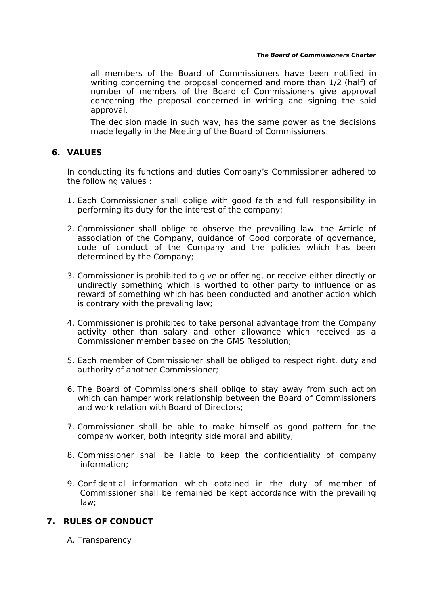#### **The Board of Commissioners Charter**

all members of the Board of Commissioners have been notified in writing concerning the proposal concerned and more than 1/2 (half) of number of members of the Board of Commissioners give approval concerning the proposal concerned in writing and signing the said approval.

The decision made in such way, has the same power as the decisions made legally in the Meeting of the Board of Commissioners.

# **6. VALUES**

In conducting its functions and duties Company's Commissioner adhered to the following values :

- 1. Each Commissioner shall oblige with good faith and full responsibility in performing its duty for the interest of the company;
- 2. Commissioner shall oblige to observe the prevailing law, the Article of association of the Company, guidance of Good corporate of governance, code of conduct of the Company and the policies which has been determined by the Company;
- 3. Commissioner is prohibited to give or offering, or receive either directly or undirectly something which is worthed to other party to influence or as reward of something which has been conducted and another action which is contrary with the prevaling law;
- 4. Commissioner is prohibited to take personal advantage from the Company activity other than salary and other allowance which received as a Commissioner member based on the GMS Resolution;
- 5. Each member of Commissioner shall be obliged to respect right, duty and authority of another Commissioner;
- 6. The Board of Commissioners shall oblige to stay away from such action which can hamper work relationship between the Board of Commissioners and work relation with Board of Directors;
- 7. Commissioner shall be able to make himself as good pattern for the company worker, both integrity side moral and ability;
- 8. Commissioner shall be liable to keep the confidentiality of company information;
- 9. Confidential information which obtained in the duty of member of Commissioner shall be remained be kept accordance with the prevailing law;

# **7. RULES OF CONDUCT**

A. Transparency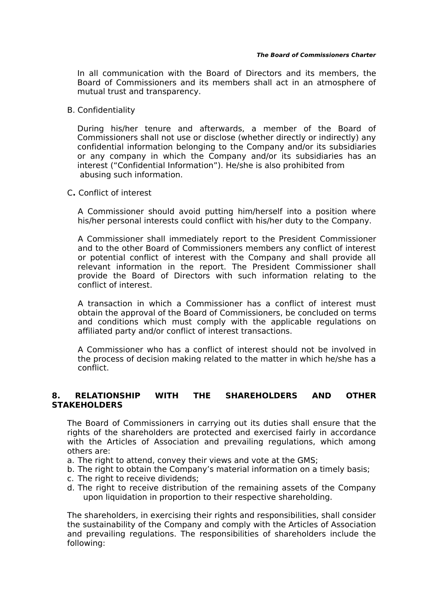In all communication with the Board of Directors and its members, the Board of Commissioners and its members shall act in an atmosphere of mutual trust and transparency.

B. Confidentiality

During his/her tenure and afterwards, a member of the Board of Commissioners shall not use or disclose (whether directly or indirectly) any confidential information belonging to the Company and/or its subsidiaries or any company in which the Company and/or its subsidiaries has an interest ("Confidential Information"). He/she is also prohibited from abusing such information.

C**.** Conflict of interest

A Commissioner should avoid putting him/herself into a position where his/her personal interests could conflict with his/her duty to the Company.

A Commissioner shall immediately report to the President Commissioner and to the other Board of Commissioners members any conflict of interest or potential conflict of interest with the Company and shall provide all relevant information in the report. The President Commissioner shall provide the Board of Directors with such information relating to the conflict of interest.

A transaction in which a Commissioner has a conflict of interest must obtain the approval of the Board of Commissioners, be concluded on terms and conditions which must comply with the applicable regulations on affiliated party and/or conflict of interest transactions.

A Commissioner who has a conflict of interest should not be involved in the process of decision making related to the matter in which he/she has a conflict.

# **8. RELATIONSHIP WITH THE SHAREHOLDERS AND OTHER STAKEHOLDERS**

The Board of Commissioners in carrying out its duties shall ensure that the rights of the shareholders are protected and exercised fairly in accordance with the Articles of Association and prevailing regulations, which among others are:

- a. The right to attend, convey their views and vote at the GMS;
- b. The right to obtain the Company's material information on a timely basis;
- c. The right to receive dividends;
- d. The right to receive distribution of the remaining assets of the Company upon liquidation in proportion to their respective shareholding.

The shareholders, in exercising their rights and responsibilities, shall consider the sustainability of the Company and comply with the Articles of Association and prevailing regulations. The responsibilities of shareholders include the following: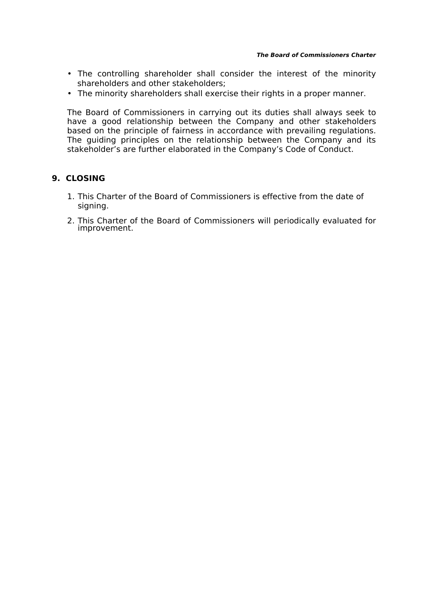- The controlling shareholder shall consider the interest of the minority shareholders and other stakeholders;
- The minority shareholders shall exercise their rights in a proper manner.

The Board of Commissioners in carrying out its duties shall always seek to have a good relationship between the Company and other stakeholders based on the principle of fairness in accordance with prevailing regulations. The guiding principles on the relationship between the Company and its stakeholder's are further elaborated in the Company's Code of Conduct.

# **9. CLOSING**

- 1. This Charter of the Board of Commissioners is effective from the date of signing.
- 2. This Charter of the Board of Commissioners will periodically evaluated for improvement.